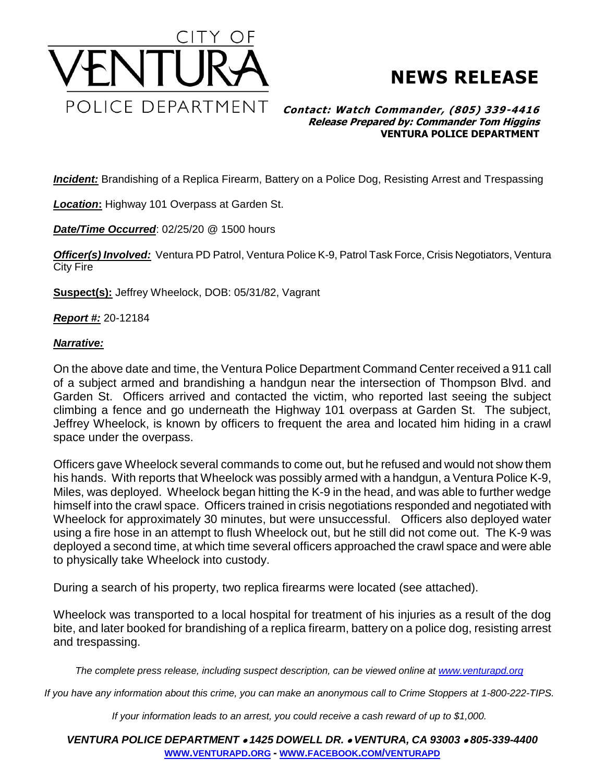



## **Contact: Watch Commander, (805) 339-4416 Release Prepared by: Commander Tom Higgins VENTURA POLICE DEPARTMENT**

*Incident:* Brandishing of a Replica Firearm, Battery on a Police Dog, Resisting Arrest and Trespassing

*Location***:** Highway 101 Overpass at Garden St.

*Date/Time Occurred*: 02/25/20 @ 1500 hours

*Officer(s) Involved:* Ventura PD Patrol, Ventura Police K-9, Patrol Task Force, Crisis Negotiators, Ventura City Fire

**Suspect(s):** Jeffrey Wheelock, DOB: 05/31/82, Vagrant

*Report #:* 20-12184

## *Narrative:*

On the above date and time, the Ventura Police Department Command Center received a 911 call of a subject armed and brandishing a handgun near the intersection of Thompson Blvd. and Garden St. Officers arrived and contacted the victim, who reported last seeing the subject climbing a fence and go underneath the Highway 101 overpass at Garden St. The subject, Jeffrey Wheelock, is known by officers to frequent the area and located him hiding in a crawl space under the overpass.

Officers gave Wheelock several commands to come out, but he refused and would not show them his hands. With reports that Wheelock was possibly armed with a handgun, a Ventura Police K-9, Miles, was deployed. Wheelock began hitting the K-9 in the head, and was able to further wedge himself into the crawl space. Officers trained in crisis negotiations responded and negotiated with Wheelock for approximately 30 minutes, but were unsuccessful. Officers also deployed water using a fire hose in an attempt to flush Wheelock out, but he still did not come out. The K-9 was deployed a second time, at which time several officers approached the crawl space and were able to physically take Wheelock into custody.

During a search of his property, two replica firearms were located (see attached).

Wheelock was transported to a local hospital for treatment of his injuries as a result of the dog bite, and later booked for brandishing of a replica firearm, battery on a police dog, resisting arrest and trespassing.

*The complete press release, including suspect description, can be viewed online at [www.venturapd.org](http://www.venturapd.org/)*

*If you have any information about this crime, you can make an anonymous call to Crime Stoppers at 1-800-222-TIPS.*

*If your information leads to an arrest, you could receive a cash reward of up to \$1,000.*

*VENTURA POLICE DEPARTMENT 1425 DOWELL DR. VENTURA, CA 93003 805-339-4400* **WWW.[VENTURAPD](http://www.venturapd.org/).ORG** *-* **WWW.FACEBOOK.COM/[VENTURAPD](http://www.facebook.com/venturapd)**